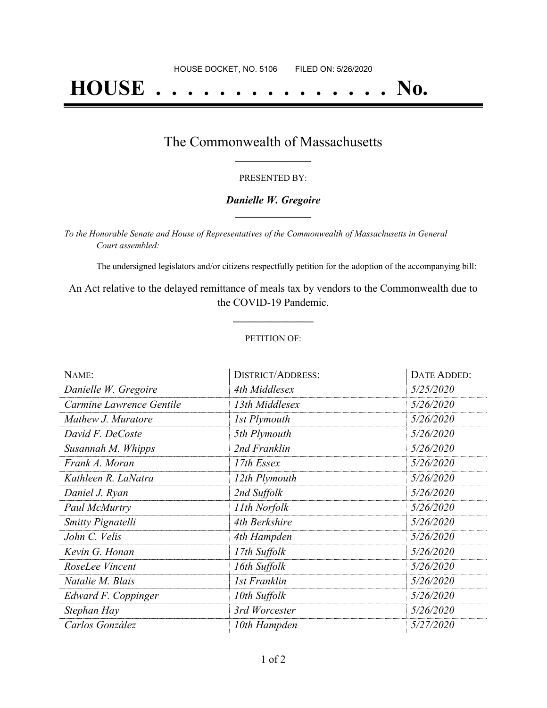# **HOUSE . . . . . . . . . . . . . . . No.**

### The Commonwealth of Massachusetts **\_\_\_\_\_\_\_\_\_\_\_\_\_\_\_\_\_**

#### PRESENTED BY:

#### *Danielle W. Gregoire* **\_\_\_\_\_\_\_\_\_\_\_\_\_\_\_\_\_**

*To the Honorable Senate and House of Representatives of the Commonwealth of Massachusetts in General Court assembled:*

The undersigned legislators and/or citizens respectfully petition for the adoption of the accompanying bill:

An Act relative to the delayed remittance of meals tax by vendors to the Commonwealth due to the COVID-19 Pandemic.

**\_\_\_\_\_\_\_\_\_\_\_\_\_\_\_**

#### PETITION OF:

| NAME:                    | <b>DISTRICT/ADDRESS:</b> | DATE ADDED: |
|--------------------------|--------------------------|-------------|
| Danielle W. Gregoire     | 4th Middlesex            | 5/25/2020   |
| Carmine Lawrence Gentile | 13th Middlesex           | 5/26/2020   |
| Mathew J. Muratore       | 1st Plymouth             | 5/26/2020   |
| David F. DeCoste         | 5th Plymouth             | 5/26/2020   |
| Susannah M. Whipps       | 2nd Franklin             | 5/26/2020   |
| Frank A. Moran           | 17th Essex               | 5/26/2020   |
| Kathleen R. LaNatra      | 12th Plymouth            | 5/26/2020   |
| Daniel J. Ryan           | 2nd Suffolk              | 5/26/2020   |
| Paul McMurtry            | 11th Norfolk             | 5/26/2020   |
| <b>Smitty Pignatelli</b> | 4th Berkshire            | 5/26/2020   |
| John C. Velis            | 4th Hampden              | 5/26/2020   |
| Kevin G. Honan           | 17th Suffolk             | 5/26/2020   |
| RoseLee Vincent          | 16th Suffolk             | 5/26/2020   |
| Natalie M. Blais         | <b>1st Franklin</b>      | 5/26/2020   |
| Edward F. Coppinger      | 10th Suffolk             | 5/26/2020   |
| Stephan Hay              | 3rd Worcester            | 5/26/2020   |
| Carlos González          | 10th Hampden             | 5/27/2020   |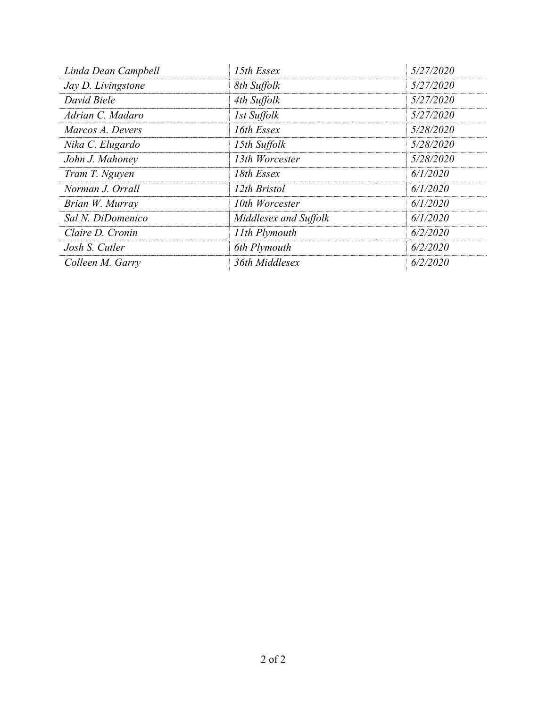| Linda Dean Campbell | 15th Essex            | 5/27/2020 |
|---------------------|-----------------------|-----------|
| Jay D. Livingstone  | 8th Suffolk           | 5/27/2020 |
| David Biele         | 4th Suffolk           | 5/27/2020 |
| Adrian C. Madaro    | 1st Suffolk           | 5/27/2020 |
| Marcos A. Devers    | 16th Essex            | 5/28/2020 |
| Nika C. Elugardo    | 15th Suffolk          | 5/28/2020 |
| John J. Mahoney     | 13th Worcester        | 5/28/2020 |
| Tram T. Nguyen      | 18th Essex            | 6/1/2020  |
| Norman J. Orrall    | 12th Bristol          | 6/1/2020  |
| Brian W. Murray     | 10th Worcester        | 6/1/2020  |
| Sal N. DiDomenico   | Middlesex and Suffolk | 6/1/2020  |
| Claire D. Cronin    | 11th Plymouth         | 6/2/2020  |
| Josh S. Cutler      | 6th Plymouth          | 6/2/2020  |
| Colleen M. Garry    | 36th Middlesex        | 6/2/2020  |